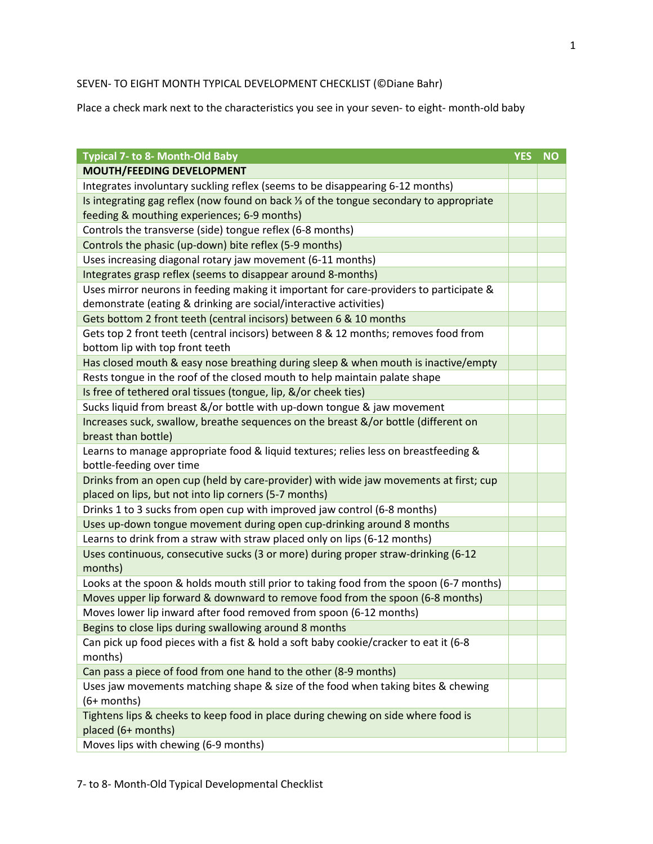## SEVEN- TO EIGHT MONTH TYPICAL DEVELOPMENT CHECKLIST (©Diane Bahr)

Place a check mark next to the characteristics you see in your seven- to eight- month-old baby

| <b>Typical 7- to 8- Month-Old Baby</b>                                                  | <b>YES</b> | <b>NO</b> |
|-----------------------------------------------------------------------------------------|------------|-----------|
| <b>MOUTH/FEEDING DEVELOPMENT</b>                                                        |            |           |
| Integrates involuntary suckling reflex (seems to be disappearing 6-12 months)           |            |           |
| Is integrating gag reflex (now found on back 1/3 of the tongue secondary to appropriate |            |           |
| feeding & mouthing experiences; 6-9 months)                                             |            |           |
| Controls the transverse (side) tongue reflex (6-8 months)                               |            |           |
| Controls the phasic (up-down) bite reflex (5-9 months)                                  |            |           |
| Uses increasing diagonal rotary jaw movement (6-11 months)                              |            |           |
| Integrates grasp reflex (seems to disappear around 8-months)                            |            |           |
| Uses mirror neurons in feeding making it important for care-providers to participate &  |            |           |
| demonstrate (eating & drinking are social/interactive activities)                       |            |           |
| Gets bottom 2 front teeth (central incisors) between 6 & 10 months                      |            |           |
| Gets top 2 front teeth (central incisors) between 8 & 12 months; removes food from      |            |           |
| bottom lip with top front teeth                                                         |            |           |
| Has closed mouth & easy nose breathing during sleep & when mouth is inactive/empty      |            |           |
| Rests tongue in the roof of the closed mouth to help maintain palate shape              |            |           |
| Is free of tethered oral tissues (tongue, lip, &/or cheek ties)                         |            |           |
| Sucks liquid from breast &/or bottle with up-down tongue & jaw movement                 |            |           |
| Increases suck, swallow, breathe sequences on the breast &/or bottle (different on      |            |           |
| breast than bottle)                                                                     |            |           |
| Learns to manage appropriate food & liquid textures; relies less on breastfeeding &     |            |           |
| bottle-feeding over time                                                                |            |           |
| Drinks from an open cup (held by care-provider) with wide jaw movements at first; cup   |            |           |
| placed on lips, but not into lip corners (5-7 months)                                   |            |           |
| Drinks 1 to 3 sucks from open cup with improved jaw control (6-8 months)                |            |           |
| Uses up-down tongue movement during open cup-drinking around 8 months                   |            |           |
| Learns to drink from a straw with straw placed only on lips (6-12 months)               |            |           |
| Uses continuous, consecutive sucks (3 or more) during proper straw-drinking (6-12       |            |           |
| months)                                                                                 |            |           |
| Looks at the spoon & holds mouth still prior to taking food from the spoon (6-7 months) |            |           |
| Moves upper lip forward & downward to remove food from the spoon (6-8 months)           |            |           |
| Moves lower lip inward after food removed from spoon (6-12 months)                      |            |           |
| Begins to close lips during swallowing around 8 months                                  |            |           |
| Can pick up food pieces with a fist & hold a soft baby cookie/cracker to eat it (6-8    |            |           |
| months)                                                                                 |            |           |
| Can pass a piece of food from one hand to the other (8-9 months)                        |            |           |
| Uses jaw movements matching shape & size of the food when taking bites & chewing        |            |           |
| (6+ months)                                                                             |            |           |
| Tightens lips & cheeks to keep food in place during chewing on side where food is       |            |           |
| placed (6+ months)                                                                      |            |           |
| Moves lips with chewing (6-9 months)                                                    |            |           |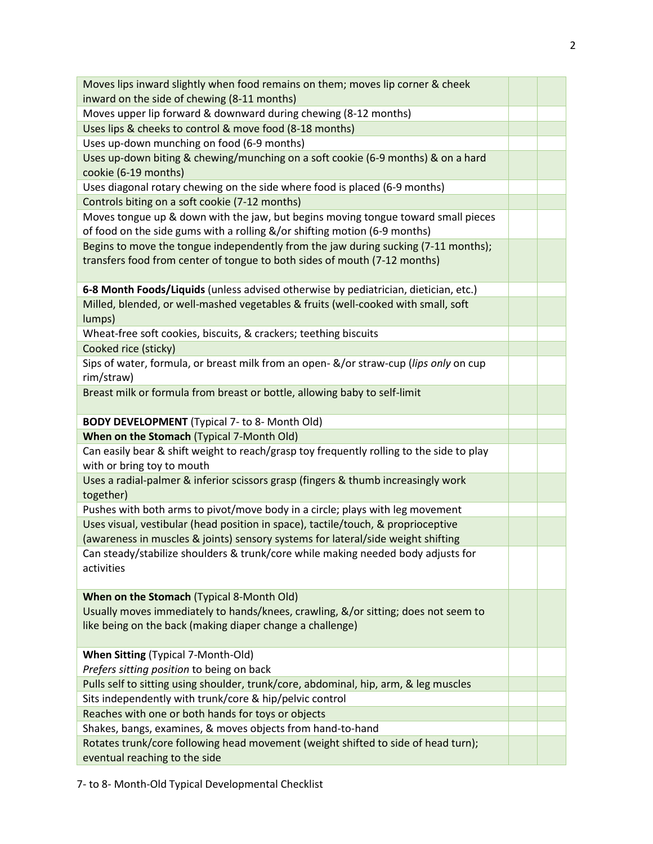| Moves lips inward slightly when food remains on them; moves lip corner & cheek                 |  |
|------------------------------------------------------------------------------------------------|--|
| inward on the side of chewing (8-11 months)                                                    |  |
| Moves upper lip forward & downward during chewing (8-12 months)                                |  |
| Uses lips & cheeks to control & move food (8-18 months)                                        |  |
| Uses up-down munching on food (6-9 months)                                                     |  |
| Uses up-down biting & chewing/munching on a soft cookie (6-9 months) & on a hard               |  |
| cookie (6-19 months)                                                                           |  |
| Uses diagonal rotary chewing on the side where food is placed (6-9 months)                     |  |
| Controls biting on a soft cookie (7-12 months)                                                 |  |
| Moves tongue up & down with the jaw, but begins moving tongue toward small pieces              |  |
| of food on the side gums with a rolling &/or shifting motion (6-9 months)                      |  |
| Begins to move the tongue independently from the jaw during sucking (7-11 months);             |  |
| transfers food from center of tongue to both sides of mouth (7-12 months)                      |  |
| 6-8 Month Foods/Liquids (unless advised otherwise by pediatrician, dietician, etc.)            |  |
| Milled, blended, or well-mashed vegetables & fruits (well-cooked with small, soft              |  |
| lumps)                                                                                         |  |
| Wheat-free soft cookies, biscuits, & crackers; teething biscuits                               |  |
| Cooked rice (sticky)                                                                           |  |
| Sips of water, formula, or breast milk from an open- &/or straw-cup (lips only on cup          |  |
| rim/straw)                                                                                     |  |
| Breast milk or formula from breast or bottle, allowing baby to self-limit                      |  |
|                                                                                                |  |
| <b>BODY DEVELOPMENT</b> (Typical 7- to 8- Month Old)                                           |  |
|                                                                                                |  |
|                                                                                                |  |
| When on the Stomach (Typical 7-Month Old)                                                      |  |
| Can easily bear & shift weight to reach/grasp toy frequently rolling to the side to play       |  |
| with or bring toy to mouth                                                                     |  |
| Uses a radial-palmer & inferior scissors grasp (fingers & thumb increasingly work<br>together) |  |
| Pushes with both arms to pivot/move body in a circle; plays with leg movement                  |  |
| Uses visual, vestibular (head position in space), tactile/touch, & proprioceptive              |  |
| (awareness in muscles & joints) sensory systems for lateral/side weight shifting               |  |
| Can steady/stabilize shoulders & trunk/core while making needed body adjusts for               |  |
| activities                                                                                     |  |
|                                                                                                |  |
| When on the Stomach (Typical 8-Month Old)                                                      |  |
| Usually moves immediately to hands/knees, crawling, &/or sitting; does not seem to             |  |
| like being on the back (making diaper change a challenge)                                      |  |
|                                                                                                |  |
| <b>When Sitting (Typical 7-Month-Old)</b>                                                      |  |
| Prefers sitting position to being on back                                                      |  |
| Pulls self to sitting using shoulder, trunk/core, abdominal, hip, arm, & leg muscles           |  |
| Sits independently with trunk/core & hip/pelvic control                                        |  |
| Reaches with one or both hands for toys or objects                                             |  |
| Shakes, bangs, examines, & moves objects from hand-to-hand                                     |  |
| Rotates trunk/core following head movement (weight shifted to side of head turn);              |  |

7- to 8- Month-Old Typical Developmental Checklist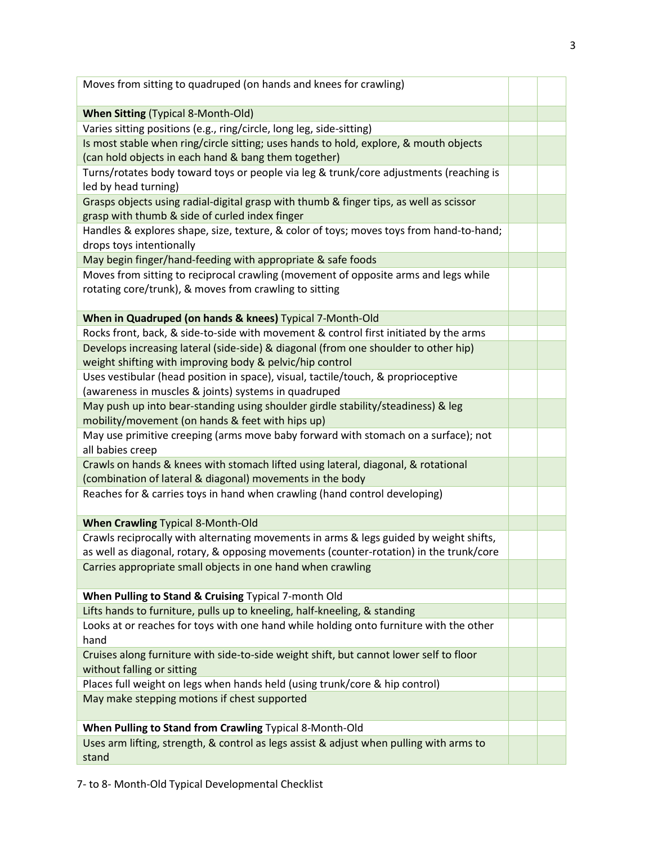| Moves from sitting to quadruped (on hands and knees for crawling)                                                                                 |  |
|---------------------------------------------------------------------------------------------------------------------------------------------------|--|
| <b>When Sitting (Typical 8-Month-Old)</b>                                                                                                         |  |
| Varies sitting positions (e.g., ring/circle, long leg, side-sitting)                                                                              |  |
| Is most stable when ring/circle sitting; uses hands to hold, explore, & mouth objects                                                             |  |
| (can hold objects in each hand & bang them together)                                                                                              |  |
| Turns/rotates body toward toys or people via leg & trunk/core adjustments (reaching is                                                            |  |
| led by head turning)                                                                                                                              |  |
| Grasps objects using radial-digital grasp with thumb & finger tips, as well as scissor                                                            |  |
| grasp with thumb & side of curled index finger                                                                                                    |  |
| Handles & explores shape, size, texture, & color of toys; moves toys from hand-to-hand;                                                           |  |
| drops toys intentionally                                                                                                                          |  |
| May begin finger/hand-feeding with appropriate & safe foods                                                                                       |  |
| Moves from sitting to reciprocal crawling (movement of opposite arms and legs while                                                               |  |
| rotating core/trunk), & moves from crawling to sitting                                                                                            |  |
|                                                                                                                                                   |  |
| When in Quadruped (on hands & knees) Typical 7-Month-Old<br>Rocks front, back, & side-to-side with movement & control first initiated by the arms |  |
| Develops increasing lateral (side-side) & diagonal (from one shoulder to other hip)                                                               |  |
| weight shifting with improving body & pelvic/hip control                                                                                          |  |
| Uses vestibular (head position in space), visual, tactile/touch, & proprioceptive                                                                 |  |
| (awareness in muscles & joints) systems in quadruped                                                                                              |  |
| May push up into bear-standing using shoulder girdle stability/steadiness) & leg                                                                  |  |
| mobility/movement (on hands & feet with hips up)                                                                                                  |  |
| May use primitive creeping (arms move baby forward with stomach on a surface); not                                                                |  |
| all babies creep                                                                                                                                  |  |
| Crawls on hands & knees with stomach lifted using lateral, diagonal, & rotational                                                                 |  |
| (combination of lateral & diagonal) movements in the body                                                                                         |  |
| Reaches for & carries toys in hand when crawling (hand control developing)                                                                        |  |
| <b>When Crawling Typical 8-Month-Old</b>                                                                                                          |  |
| Crawls reciprocally with alternating movements in arms & legs guided by weight shifts,                                                            |  |
| as well as diagonal, rotary, & opposing movements (counter-rotation) in the trunk/core                                                            |  |
| Carries appropriate small objects in one hand when crawling                                                                                       |  |
| When Pulling to Stand & Cruising Typical 7-month Old                                                                                              |  |
| Lifts hands to furniture, pulls up to kneeling, half-kneeling, & standing                                                                         |  |
| Looks at or reaches for toys with one hand while holding onto furniture with the other                                                            |  |
| hand                                                                                                                                              |  |
| Cruises along furniture with side-to-side weight shift, but cannot lower self to floor                                                            |  |
| without falling or sitting                                                                                                                        |  |
| Places full weight on legs when hands held (using trunk/core & hip control)                                                                       |  |
| May make stepping motions if chest supported                                                                                                      |  |
|                                                                                                                                                   |  |
| When Pulling to Stand from Crawling Typical 8-Month-Old                                                                                           |  |
| Uses arm lifting, strength, & control as legs assist & adjust when pulling with arms to                                                           |  |
| stand                                                                                                                                             |  |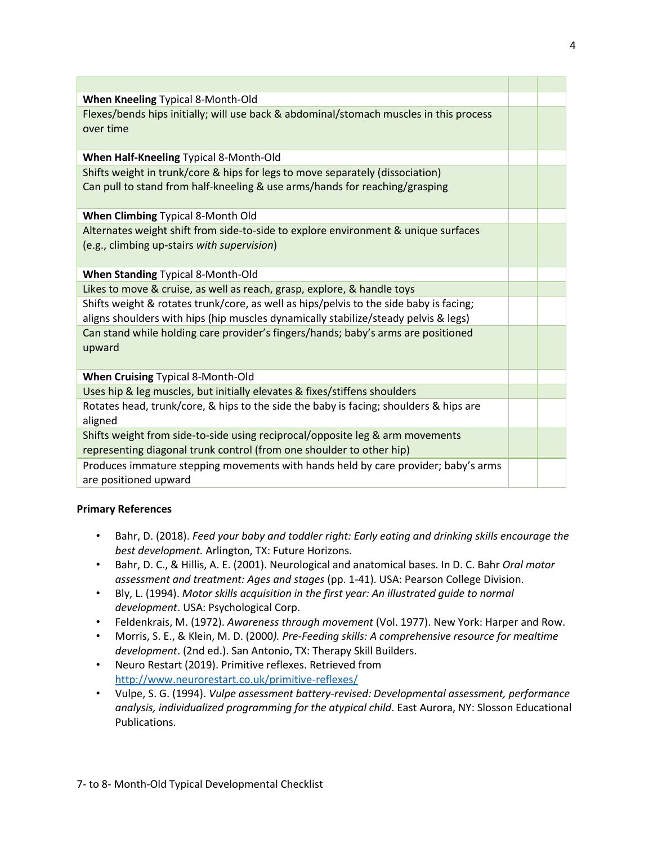| When Kneeling Typical 8-Month-Old                                                      |  |
|----------------------------------------------------------------------------------------|--|
| Flexes/bends hips initially; will use back & abdominal/stomach muscles in this process |  |
| over time                                                                              |  |
|                                                                                        |  |
| When Half-Kneeling Typical 8-Month-Old                                                 |  |
| Shifts weight in trunk/core & hips for legs to move separately (dissociation)          |  |
| Can pull to stand from half-kneeling & use arms/hands for reaching/grasping            |  |
|                                                                                        |  |
| When Climbing Typical 8-Month Old                                                      |  |
| Alternates weight shift from side-to-side to explore environment & unique surfaces     |  |
| (e.g., climbing up-stairs with supervision)                                            |  |
|                                                                                        |  |
| When Standing Typical 8-Month-Old                                                      |  |
| Likes to move & cruise, as well as reach, grasp, explore, & handle toys                |  |
| Shifts weight & rotates trunk/core, as well as hips/pelvis to the side baby is facing; |  |
| aligns shoulders with hips (hip muscles dynamically stabilize/steady pelvis & legs)    |  |
| Can stand while holding care provider's fingers/hands; baby's arms are positioned      |  |
| upward                                                                                 |  |
|                                                                                        |  |
| <b>When Cruising Typical 8-Month-Old</b>                                               |  |
| Uses hip & leg muscles, but initially elevates & fixes/stiffens shoulders              |  |
| Rotates head, trunk/core, & hips to the side the baby is facing; shoulders & hips are  |  |
| aligned                                                                                |  |
| Shifts weight from side-to-side using reciprocal/opposite leg & arm movements          |  |
| representing diagonal trunk control (from one shoulder to other hip)                   |  |
| Produces immature stepping movements with hands held by care provider; baby's arms     |  |
| are positioned upward                                                                  |  |

## **Primary References**

- Bahr, D. (2018). *Feed your baby and toddler right: Early eating and drinking skills encourage the best development.* Arlington, TX: Future Horizons.
- Bahr, D. C., & Hillis, A. E. (2001). Neurological and anatomical bases. In D. C. Bahr *Oral motor assessment and treatment: Ages and stages* (pp. 1-41). USA: Pearson College Division.
- Bly, L. (1994). *Motor skills acquisition in the first year: An illustrated guide to normal development*. USA: Psychological Corp.
- Feldenkrais, M. (1972). *Awareness through movement* (Vol. 1977). New York: Harper and Row.
- Morris, S. E., & Klein, M. D. (2000*). Pre-Feeding skills: A comprehensive resource for mealtime development*. (2nd ed.). San Antonio, TX: Therapy Skill Builders.
- Neuro Restart (2019). Primitive reflexes. Retrieved from <http://www.neurorestart.co.uk/primitive-reflexes/>
- Vulpe, S. G. (1994). *Vulpe assessment battery-revised: Developmental assessment, performance analysis, individualized programming for the atypical child*. East Aurora, NY: Slosson Educational Publications.